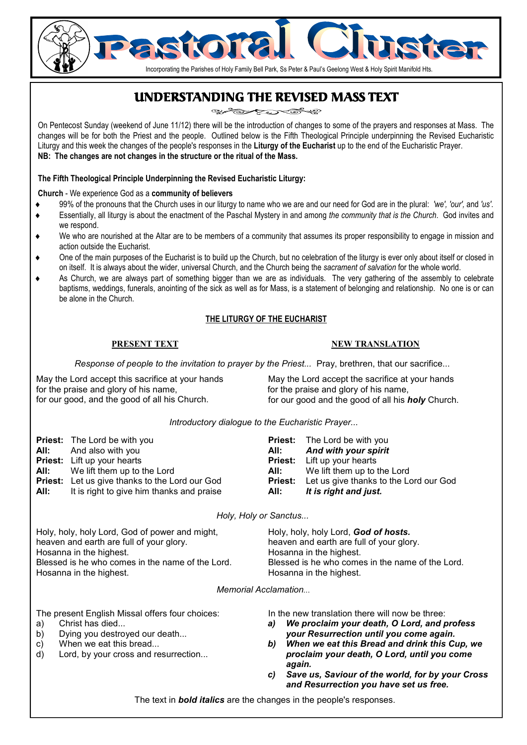# UNDERSTANDING THE REVISED MASS TEXT

Incorporating the Parishes of Holy Family Bell Park, Ss Peter & Paul's Geelong West & Holy Spirit Manifold Hts.

On Pentecost Sunday (weekend of June 11/12) there will be the introduction of changes to some of the prayers and responses at Mass. The changes will be for both the Priest and the people. Outlined below is the Fifth Theological Principle underpinning the Revised Eucharistic Liturgy and this week the changes of the people's responses in the **Liturgy of the Eucharist** up to the end of the Eucharistic Prayer. **NB: The changes are not changes in the structure or the ritual of the Mass.**

#### **The Fifth Theological Principle Underpinning the Revised Eucharistic Liturgy:**

**Church** - We experience God as a **community of believers** 

- ♦ 99% of the pronouns that the Church uses in our liturgy to name who we are and our need for God are in the plural: *'we', 'our',* and *'us'*.
- Essentially, all liturgy is about the enactment of the Paschal Mystery in and among the community that is the Church. God invites and we respond.
- We who are nourished at the Altar are to be members of a community that assumes its proper responsibility to engage in mission and action outside the Eucharist.
- One of the main purposes of the Eucharist is to build up the Church, but no celebration of the liturgy is ever only about itself or closed in on itself. It is always about the wider, universal Church, and the Church being the *sacrament of salvation* for the whole world.
- As Church, we are always part of something bigger than we are as individuals. The very gathering of the assembly to celebrate baptisms, weddings, funerals, anointing of the sick as well as for Mass, is a statement of belonging and relationship. No one is or can be alone in the Church.

### **THE LITURGY OF THE EUCHARIST**

#### **PRESENT TEXT**

#### **NEW TRANSLATION**

*Response of people to the invitation to prayer by the Priest...* Pray, brethren, that our sacrifice...

May the Lord accept this sacrifice at your hands for the praise and glory of his name, for our good, and the good of all his Church.

May the Lord accept the sacrifice at your hands for the praise and glory of his name, for our good and the good of all his *holy* Church.

*Introductory dialogue to the Eucharistic Prayer...* 

| <b>Priest:</b> The Lord be with you                   |                                                                                                                                                                                                                                | <b>Priest:</b> The Lord be with you                   |
|-------------------------------------------------------|--------------------------------------------------------------------------------------------------------------------------------------------------------------------------------------------------------------------------------|-------------------------------------------------------|
| <b>All:</b> And also with you                         | All:                                                                                                                                                                                                                           | And with your spirit                                  |
| <b>Priest:</b> Lift up your hearts                    |                                                                                                                                                                                                                                | <b>Priest:</b> Lift up your hearts                    |
| <b>All:</b> We lift them up to the Lord               | All: The Solid State State State State State State State State State State State State State State State State State State State State State State State State State State State State State State State State State State Sta | We lift them up to the Lord                           |
| <b>Priest:</b> Let us give thanks to the Lord our God |                                                                                                                                                                                                                                | <b>Priest:</b> Let us give thanks to the Lord our God |
| <b>All:</b> It is right to give him thanks and praise | All:                                                                                                                                                                                                                           | It is right and just.                                 |

*Holy, Holy or Sanctus...* 

| Holy, holy, holy Lord, God of power and might,   | Holy, holy, holy Lord, God of hosts.             |
|--------------------------------------------------|--------------------------------------------------|
| heaven and earth are full of your glory.         | heaven and earth are full of your glory.         |
| Hosanna in the highest.                          | Hosanna in the highest.                          |
| Blessed is he who comes in the name of the Lord. | Blessed is he who comes in the name of the Lord. |
| Hosanna in the highest.                          | Hosanna in the highest.                          |
|                                                  |                                                  |

*Memorial Acclamation...* 

The present English Missal offers four choices:

- a) Christ has died...
- b) Dying you destroyed our death...
- c) When we eat this bread...
- d) Lord, by your cross and resurrection...

In the new translation there will now be three:

- *a) We proclaim your death, O Lord, and profess your Resurrection until you come again.*
- *b) When we eat this Bread and drink this Cup, we proclaim your death, O Lord, until you come again.*
- *c) Save us, Saviour of the world, for by your Cross and Resurrection you have set us free.*

The text in *bold italics* are the changes in the people's responses.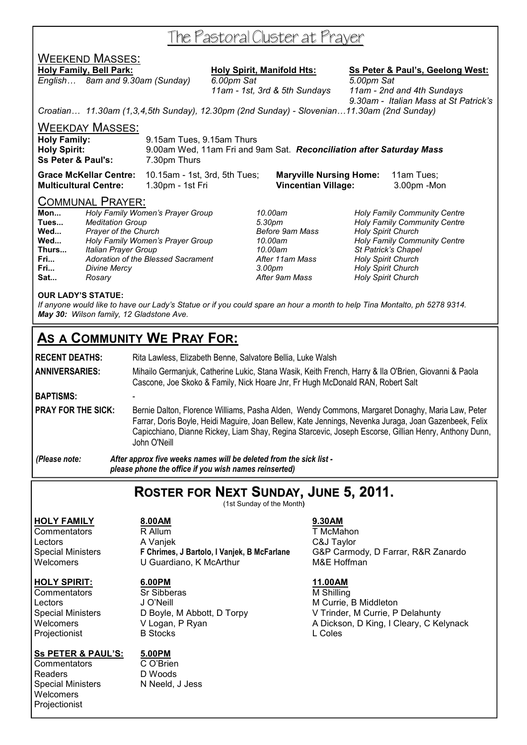# The Pastoral Cluster at Prayer

# WEEKEND MASSES:

*English… 8am and 9.30am (Sunday) 6.00pm Sat 5.00pm Sat* 

**Holy Family, Bell Park: Holy Spirit, Manifold Hts: Ss Peter & Paul's, Geelong West:**

 *11am - 1st, 3rd & 5th Sundays 11am - 2nd and 4th Sundays 9.30am - Italian Mass at St Patrick's* 

*Croatian… 11.30am (1,3,4,5th Sunday), 12.30pm (2nd Sunday) - Slovenian…11.30am (2nd Sunday)* 

WEEKDAY MASSES:

| <b>Holy Family:</b>           | 9.15am Tues, 9.15am Thurs                                            |
|-------------------------------|----------------------------------------------------------------------|
| <b>Holy Spirit:</b>           | 9.00am Wed, 11am Fri and 9am Sat. Reconciliation after Saturday Mass |
| <b>Ss Peter &amp; Paul's:</b> | 7.30pm Thurs                                                         |
|                               |                                                                      |

**Grace McKellar Centre:** 10.15am - 1st, 3rd, 5th Tues; **Maryville Nursing Home:** 11am Tues; **Multicultural Centre:** 1.30pm - 1st Fri **Vincentian Village:** 3.00pm -Mon

## COMMUNAL PRAYER:

| Mon   | Holy Family Women's Prayer Group   |
|-------|------------------------------------|
| Tues  | <b>Meditation Group</b>            |
| Wed   | <b>Prayer of the Church</b>        |
| Wed   | Holy Family Women's Prayer Group   |
| Thurs | Italian Prayer Group               |
| Fri   | Adoration of the Blessed Sacrament |
| Fri   | Divine Mercy                       |
| Sat   | Rosary                             |

**Fri...** *Divine Mercy 3.00pm Holy Spirit Church* 

**Mon...** *Holy Family Women's Prayer Group 10.00am Holy Family Community Centre*  **Tues...** *Meditation Group 5.30pm Holy Family Community Centre*  **Holy Spirit Church Wed...** *Holy Family Women's Prayer Group 10.00am Holy Family Community Centre*  **Thurs...** *Italian Prayer Group 10.00am St Patrick's Chapel*  **Fri...** *Adoration of the Blessed Sacrament After 11am Mass Holy Spirit Church*  **Holy Spirit Church** 

### **OUR LADY'S STATUE:**

*If anyone would like to have our Lady's Statue or if you could spare an hour a month to help Tina Montalto, ph 5278 9314. May 30: Wilson family, 12 Gladstone Ave.* 

# **AS A COMMUNITY WE PRAY FOR:**

**RECENT DEATHS:** Rita Lawless, Elizabeth Benne, Salvatore Bellia, Luke Walsh

- **ANNIVERSARIES:** Mihailo Germanjuk, Catherine Lukic, Stana Wasik, Keith French, Harry & Ila O'Brien, Giovanni & Paola Cascone, Joe Skoko & Family, Nick Hoare Jnr, Fr Hugh McDonald RAN, Robert Salt
- **BAPTISMS:** -

PRAY FOR THE SICK: Bernie Dalton, Florence Williams, Pasha Alden, Wendy Commons, Margaret Donaghy, Maria Law, Peter Farrar, Doris Boyle, Heidi Maguire, Joan Bellew, Kate Jennings, Nevenka Juraga, Joan Gazenbeek, Felix Capicchiano, Dianne Rickey, Liam Shay, Regina Starcevic, Joseph Escorse, Gillian Henry, Anthony Dunn, John O'Neill

*(Please note: After approx five weeks names will be deleted from the sick list please phone the office if you wish names reinserted)* 

# **ROSTER FOR NEXT SUNDAY, JUNE 5, 2011.**

(1st Sunday of the Month**)** 

**HOLY FAMILY 8.00AM 9.30AM**

## Commentators R Allum T McMahon Lectors A Vanjek C&J Taylor Welcomers **U Guardiano, K McArthur M&E Hoffman**

**Projectionist** 

### **Ss PETER & PAUL'S: 5.00PM**

Commentators CO'Brien Readers D Woods Special Ministers N Neeld, J Jess **Welcomers** Projectionist

**HOLY SPIRIT: 6.00PM 11.00AM**

Commentators Sr Sibberas M Shilling Lectors **Communist Communist J O'Neill** M Currie, B Middleton

Special Ministers **F Chrimes, J Bartolo, I Vanjek, B McFarlane** G&P Carmody, D Farrar, R&R Zanardo

Special Ministers **D** Boyle, M Abbott, D Torpy **V** Trinder, M Currie, P Delahunty Welcomers V Logan, P Ryan A Dickson, D King, I Cleary, C Kelynack<br>
Proiectionist B Stocks A B Coles L Coles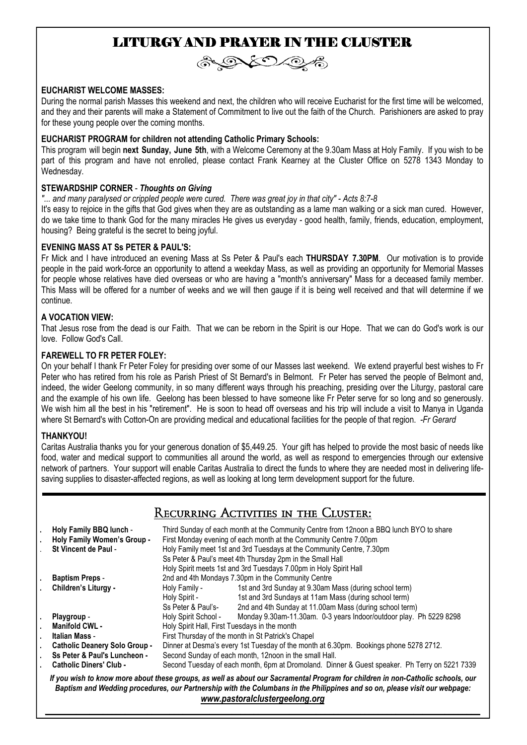# LITURGY AND PRAYER IN THE CLUSTER



#### **EUCHARIST WELCOME MASSES:**

During the normal parish Masses this weekend and next, the children who will receive Eucharist for the first time will be welcomed, and they and their parents will make a Statement of Commitment to live out the faith of the Church. Parishioners are asked to pray for these young people over the coming months.

#### **EUCHARIST PROGRAM for children not attending Catholic Primary Schools:**

This program will begin **next Sunday, June 5th**, with a Welcome Ceremony at the 9.30am Mass at Holy Family. If you wish to be part of this program and have not enrolled, please contact Frank Kearney at the Cluster Office on 5278 1343 Monday to Wednesday.

#### **STEWARDSHIP CORNER** - *Thoughts on Giving*

*"... and many paralysed or crippled people were cured. There was great joy in that city" - Acts 8:7-8* 

It's easy to rejoice in the gifts that God gives when they are as outstanding as a lame man walking or a sick man cured. However, do we take time to thank God for the many miracles He gives us everyday - good health, family, friends, education, employment, housing? Being grateful is the secret to being joyful.

### **EVENING MASS AT Ss PETER & PAUL'S:**

Fr Mick and I have introduced an evening Mass at Ss Peter & Paul's each **THURSDAY 7.30PM**. Our motivation is to provide people in the paid work-force an opportunity to attend a weekday Mass, as well as providing an opportunity for Memorial Masses for people whose relatives have died overseas or who are having a "month's anniversary" Mass for a deceased family member. This Mass will be offered for a number of weeks and we will then gauge if it is being well received and that will determine if we continue.

### **A VOCATION VIEW:**

That Jesus rose from the dead is our Faith. That we can be reborn in the Spirit is our Hope. That we can do God's work is our love. Follow God's Call.

#### **FAREWELL TO FR PETER FOLEY:**

On your behalf I thank Fr Peter Foley for presiding over some of our Masses last weekend. We extend prayerful best wishes to Fr Peter who has retired from his role as Parish Priest of St Bernard's in Belmont. Fr Peter has served the people of Belmont and, indeed, the wider Geelong community, in so many different ways through his preaching, presiding over the Liturgy, pastoral care and the example of his own life. Geelong has been blessed to have someone like Fr Peter serve for so long and so generously. We wish him all the best in his "retirement". He is soon to head off overseas and his trip will include a visit to Manya in Uganda where St Bernard's with Cotton-On are providing medical and educational facilities for the people of that region. *-Fr Gerard* 

#### **THANKYOU!**

Caritas Australia thanks you for your generous donation of \$5,449.25. Your gift has helped to provide the most basic of needs like food, water and medical support to communities all around the world, as well as respond to emergencies through our extensive network of partners. Your support will enable Caritas Australia to direct the funds to where they are needed most in delivering lifesaving supplies to disaster-affected regions, as well as looking at long term development support for the future.

# Recurring Activities in the Cluster:

|                                                                                                                                                                                                                                                                                                 | Holy Family BBQ lunch -<br>Holy Family Women's Group -<br>St Vincent de Paul - | Third Sunday of each month at the Community Centre from 12noon a BBQ lunch BYO to share<br>First Monday evening of each month at the Community Centre 7.00pm<br>Holy Family meet 1st and 3rd Tuesdays at the Community Centre, 7.30pm<br>Ss Peter & Paul's meet 4th Thursday 2pm in the Small Hall<br>Holy Spirit meets 1st and 3rd Tuesdays 7.00pm in Holy Spirit Hall |                                                                    |
|-------------------------------------------------------------------------------------------------------------------------------------------------------------------------------------------------------------------------------------------------------------------------------------------------|--------------------------------------------------------------------------------|-------------------------------------------------------------------------------------------------------------------------------------------------------------------------------------------------------------------------------------------------------------------------------------------------------------------------------------------------------------------------|--------------------------------------------------------------------|
|                                                                                                                                                                                                                                                                                                 | <b>Baptism Preps -</b>                                                         | 2nd and 4th Mondays 7.30pm in the Community Centre                                                                                                                                                                                                                                                                                                                      |                                                                    |
|                                                                                                                                                                                                                                                                                                 | Children's Liturgy -                                                           | Holy Family -                                                                                                                                                                                                                                                                                                                                                           | 1st and 3rd Sunday at 9.30am Mass (during school term)             |
|                                                                                                                                                                                                                                                                                                 |                                                                                | Holy Spirit -                                                                                                                                                                                                                                                                                                                                                           | 1st and 3rd Sundays at 11am Mass (during school term)              |
|                                                                                                                                                                                                                                                                                                 |                                                                                | Ss Peter & Paul's-                                                                                                                                                                                                                                                                                                                                                      | 2nd and 4th Sunday at 11.00am Mass (during school term)            |
|                                                                                                                                                                                                                                                                                                 | Playgroup -                                                                    | Holy Spirit School -                                                                                                                                                                                                                                                                                                                                                    | Monday 9.30am-11.30am. 0-3 years Indoor/outdoor play. Ph 5229 8298 |
|                                                                                                                                                                                                                                                                                                 | Manifold CWL -                                                                 | Holy Spirit Hall, First Tuesdays in the month                                                                                                                                                                                                                                                                                                                           |                                                                    |
|                                                                                                                                                                                                                                                                                                 | Italian Mass -                                                                 | First Thursday of the month in St Patrick's Chapel                                                                                                                                                                                                                                                                                                                      |                                                                    |
|                                                                                                                                                                                                                                                                                                 | <b>Catholic Deanery Solo Group -</b>                                           | Dinner at Desma's every 1st Tuesday of the month at 6.30pm. Bookings phone 5278 2712.                                                                                                                                                                                                                                                                                   |                                                                    |
|                                                                                                                                                                                                                                                                                                 | Ss Peter & Paul's Luncheon -                                                   | Second Sunday of each month, 12noon in the small Hall.                                                                                                                                                                                                                                                                                                                  |                                                                    |
|                                                                                                                                                                                                                                                                                                 | <b>Catholic Diners' Club -</b>                                                 | Second Tuesday of each month, 6pm at Dromoland. Dinner & Guest speaker. Ph Terry on 5221 7339                                                                                                                                                                                                                                                                           |                                                                    |
| If you wish to know more about these groups, as well as about our Sacramental Program for children in non-Catholic schools, our<br>Baptism and Wedding procedures, our Partnership with the Columbans in the Philippines and so on, please visit our webpage:<br>www.pastoralclustergeelong.org |                                                                                |                                                                                                                                                                                                                                                                                                                                                                         |                                                                    |

*\_\_\_\_\_\_\_\_\_\_\_\_\_\_\_\_\_\_\_\_\_\_\_\_\_\_\_\_\_\_\_\_\_\_\_\_\_\_\_\_\_\_\_\_\_\_\_\_\_\_\_\_\_\_\_\_\_\_\_\_\_\_\_\_\_\_\_\_\_\_\_\_\_\_\_\_\_\_\_\_\_\_\_\_\_\_\_\_\_\_\_\_\_\_\_\_\_\_*